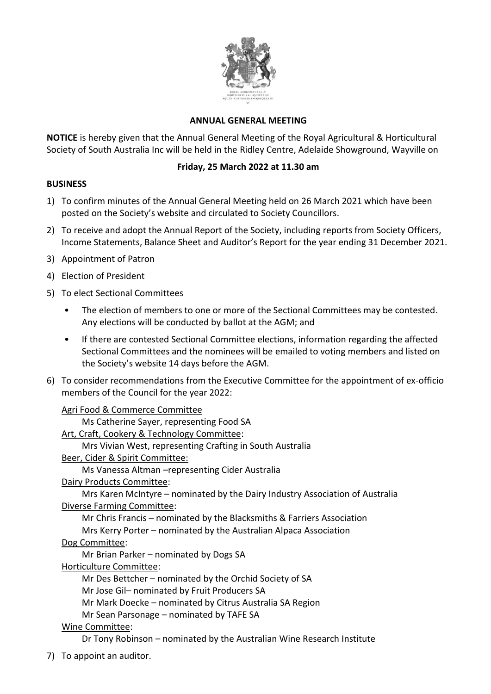

# **ANNUAL GENERAL MEETING**

**NOTICE** is hereby given that the Annual General Meeting of the Royal Agricultural & Horticultural Society of South Australia Inc will be held in the Ridley Centre, Adelaide Showground, Wayville on

# **Friday, 25 March 2022 at 11.30 am**

#### **BUSINESS**

- 1) To confirm minutes of the Annual General Meeting held on 26 March 2021 which have been posted on the Society's website and circulated to Society Councillors.
- 2) To receive and adopt the Annual Report of the Society, including reports from Society Officers, Income Statements, Balance Sheet and Auditor's Report for the year ending 31 December 2021.
- 3) Appointment of Patron
- 4) Election of President
- 5) To elect Sectional Committees
	- The election of members to one or more of the Sectional Committees may be contested. Any elections will be conducted by ballot at the AGM; and
	- If there are contested Sectional Committee elections, information regarding the affected Sectional Committees and the nominees will be emailed to voting members and listed on the Society's website 14 days before the AGM.
- 6) To consider recommendations from the Executive Committee for the appointment of ex-officio members of the Council for the year 2022:

#### Agri Food & Commerce Committee

Ms Catherine Sayer, representing Food SA

Art, Craft, Cookery & Technology Committee:

Mrs Vivian West, representing Crafting in South Australia

Beer, Cider & Spirit Committee:

Ms Vanessa Altman –representing Cider Australia

Dairy Products Committee:

Mrs Karen McIntyre – nominated by the Dairy Industry Association of Australia Diverse Farming Committee:

Mr Chris Francis – nominated by the Blacksmiths & Farriers Association

Mrs Kerry Porter – nominated by the Australian Alpaca Association

Dog Committee:

Mr Brian Parker – nominated by Dogs SA

Horticulture Committee:

Mr Des Bettcher – nominated by the Orchid Society of SA

Mr Jose Gil– nominated by Fruit Producers SA

Mr Mark Doecke – nominated by Citrus Australia SA Region

Mr Sean Parsonage – nominated by TAFE SA

# Wine Committee:

Dr Tony Robinson – nominated by the Australian Wine Research Institute

7) To appoint an auditor.